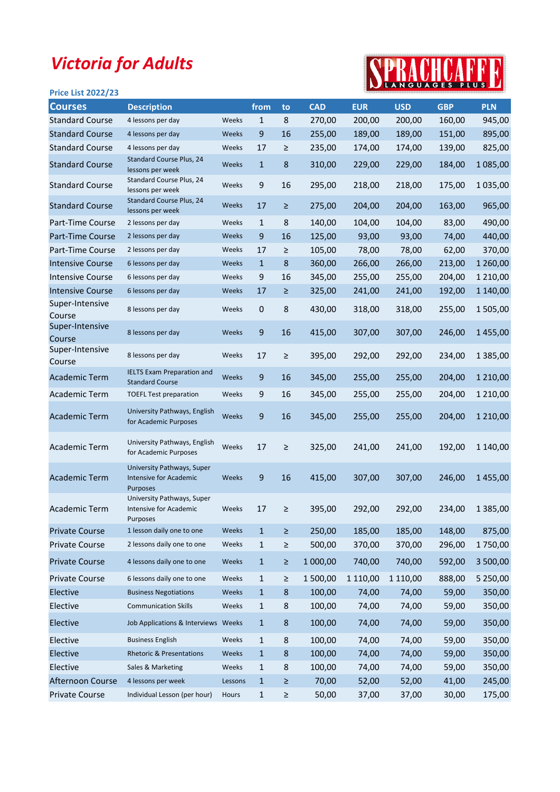## Victoria for Adults

## SPRACHCAFFE

| <b>Price List 2022/23</b> |                                                                         |         |              |         |            |            |            |            | <u>.</u>      |
|---------------------------|-------------------------------------------------------------------------|---------|--------------|---------|------------|------------|------------|------------|---------------|
| <b>Courses</b>            | <b>Description</b>                                                      |         | from         | to      | <b>CAD</b> | <b>EUR</b> | <b>USD</b> | <b>GBP</b> | <b>PLN</b>    |
| <b>Standard Course</b>    | 4 lessons per day                                                       | Weeks   | $\mathbf{1}$ | 8       | 270,00     | 200,00     | 200,00     | 160,00     | 945,00        |
| <b>Standard Course</b>    | 4 lessons per day                                                       | Weeks   | 9            | 16      | 255,00     | 189,00     | 189,00     | 151,00     | 895,00        |
| <b>Standard Course</b>    | 4 lessons per day                                                       | Weeks   | 17           | $\geq$  | 235,00     | 174,00     | 174,00     | 139,00     | 825,00        |
| <b>Standard Course</b>    | Standard Course Plus, 24<br>lessons per week                            | Weeks   | $\mathbf{1}$ | 8       | 310,00     | 229,00     | 229,00     | 184,00     | 1 085,00      |
| <b>Standard Course</b>    | Standard Course Plus, 24<br>lessons per week                            | Weeks   | 9            | 16      | 295,00     | 218,00     | 218,00     | 175,00     | 1 035,00      |
| <b>Standard Course</b>    | Standard Course Plus, 24<br>lessons per week                            | Weeks   | 17           | ≥       | 275,00     | 204,00     | 204,00     | 163,00     | 965,00        |
| Part-Time Course          | 2 lessons per day                                                       | Weeks   | $\mathbf{1}$ | 8       | 140,00     | 104,00     | 104,00     | 83,00      | 490,00        |
| Part-Time Course          | 2 lessons per day                                                       | Weeks   | 9            | 16      | 125,00     | 93,00      | 93,00      | 74,00      | 440,00        |
| Part-Time Course          | 2 lessons per day                                                       | Weeks   | 17           | ≥       | 105,00     | 78,00      | 78,00      | 62,00      | 370,00        |
| <b>Intensive Course</b>   | 6 lessons per day                                                       | Weeks   | $\mathbf{1}$ | 8       | 360,00     | 266,00     | 266,00     | 213,00     | 1 260,00      |
| <b>Intensive Course</b>   | 6 lessons per day                                                       | Weeks   | 9            | 16      | 345,00     | 255,00     | 255,00     | 204,00     | 1 2 1 0 , 0 0 |
| <b>Intensive Course</b>   | 6 lessons per day                                                       | Weeks   | 17           | ≥       | 325,00     | 241,00     | 241,00     | 192,00     | 1 140,00      |
| Super-Intensive<br>Course | 8 lessons per day                                                       | Weeks   | $\mathbf 0$  | 8       | 430,00     | 318,00     | 318,00     | 255,00     | 1505,00       |
| Super-Intensive<br>Course | 8 lessons per day                                                       | Weeks   | 9            | 16      | 415,00     | 307,00     | 307,00     | 246,00     | 1455,00       |
| Super-Intensive<br>Course | 8 lessons per day                                                       | Weeks   | 17           | $\geq$  | 395,00     | 292,00     | 292,00     | 234,00     | 1 385,00      |
| <b>Academic Term</b>      | <b>IELTS Exam Preparation and</b><br><b>Standard Course</b>             | Weeks   | 9            | 16      | 345,00     | 255,00     | 255,00     | 204,00     | 1 2 1 0 ,00   |
| <b>Academic Term</b>      | <b>TOEFL Test preparation</b>                                           | Weeks   | 9            | 16      | 345,00     | 255,00     | 255,00     | 204,00     | 1 2 1 0 , 0 0 |
| <b>Academic Term</b>      | University Pathways, English<br>for Academic Purposes                   | Weeks   | 9            | 16      | 345,00     | 255,00     | 255,00     | 204,00     | 1 2 1 0 ,00   |
| <b>Academic Term</b>      | University Pathways, English<br>for Academic Purposes                   | Weeks   | 17           | ≥       | 325,00     | 241,00     | 241,00     | 192,00     | 1 140,00      |
| <b>Academic Term</b>      | University Pathways, Super<br>Intensive for Academic<br><b>Purposes</b> | Weeks   | 9            | 16      | 415,00     | 307,00     | 307,00     | 246,00     | 1455,00       |
| Academic Term             | University Pathways, Super<br>Intensive for Academic<br>Purposes        | Weeks   | 17           |         | 395,00     | 292,00     | 292,00     | 234,00     | 1 3 8 5 , 0 0 |
| <b>Private Course</b>     | 1 lesson daily one to one                                               | Weeks   | $\mathbf{1}$ | $\geq$  | 250,00     | 185,00     | 185,00     | 148,00     | 875,00        |
| <b>Private Course</b>     | 2 lessons daily one to one                                              | Weeks   | $\mathbf{1}$ | $\geq$  | 500,00     | 370,00     | 370,00     | 296,00     | 1750,00       |
| <b>Private Course</b>     | 4 lessons daily one to one                                              | Weeks   | $\mathbf{1}$ | $\geq$  | 1 000,00   | 740,00     | 740,00     | 592,00     | 3 500,00      |
| <b>Private Course</b>     | 6 lessons daily one to one                                              | Weeks   | 1            | $\geq$  | 1500,00    | 1 110,00   | 1 110,00   | 888,00     | 5 250,00      |
| Elective                  | <b>Business Negotiations</b>                                            | Weeks   | $\mathbf{1}$ | $\bf 8$ | 100,00     | 74,00      | 74,00      | 59,00      | 350,00        |
| Elective                  | <b>Communication Skills</b>                                             | Weeks   | $\mathbf{1}$ | 8       | 100,00     | 74,00      | 74,00      | 59,00      | 350,00        |
| Elective                  | Job Applications & Interviews Weeks                                     |         | $\mathbf{1}$ | 8       | 100,00     | 74,00      | 74,00      | 59,00      | 350,00        |
| Elective                  | <b>Business English</b>                                                 | Weeks   | $\mathbf{1}$ | 8       | 100,00     | 74,00      | 74,00      | 59,00      | 350,00        |
| Elective                  | <b>Rhetoric &amp; Presentations</b>                                     | Weeks   | $\mathbf{1}$ | 8       | 100,00     | 74,00      | 74,00      | 59,00      | 350,00        |
| Elective                  | Sales & Marketing                                                       | Weeks   | 1            | 8       | 100,00     | 74,00      | 74,00      | 59,00      | 350,00        |
| Afternoon Course          | 4 lessons per week                                                      | Lessons | $\mathbf{1}$ | $\geq$  | 70,00      | 52,00      | 52,00      | 41,00      | 245,00        |
| Private Course            | Individual Lesson (per hour)                                            | Hours   | $\mathbf{1}$ | $\geq$  | 50,00      | 37,00      | 37,00      | 30,00      | 175,00        |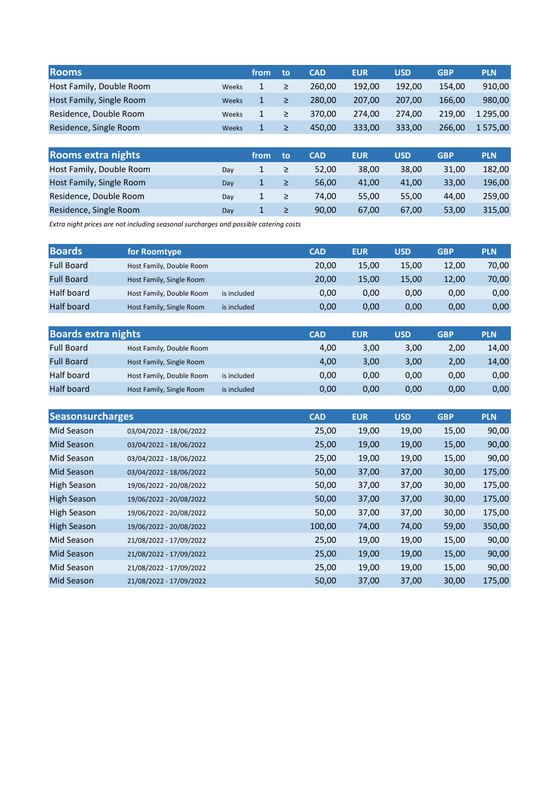| <b>Rooms</b>             |              | from | to     | <b>CAD</b> | <b>EUR</b> | <b>USD</b> | <b>GBP</b> | <b>PLN</b> |
|--------------------------|--------------|------|--------|------------|------------|------------|------------|------------|
| Host Family, Double Room | Weeks        | 1    | ≥      | 260.00     | 192.00     | 192.00     | 154.00     | 910,00     |
| Host Family, Single Room | <b>Weeks</b> | 1    | $\geq$ | 280.00     | 207.00     | 207.00     | 166.00     | 980,00     |
| Residence, Double Room   | Weeks        | 1    | ≥      | 370.00     | 274.00     | 274.00     | 219.00     | 1 295.00   |
| Residence, Single Room   | <b>Weeks</b> | 1    | ≥      | 450.00     | 333.00     | 333.00     | 266.00     | 1 575.00   |

| Rooms extra nights       |     | from | to | <b>CAD</b> | <b>EUR</b> | <b>USD</b> | <b>GBP</b> | <b>PLN</b> |
|--------------------------|-----|------|----|------------|------------|------------|------------|------------|
| Host Family, Double Room | Dav |      | ≥  | 52.00      | 38,00      | 38.00      | 31,00      | 182,00     |
| Host Family, Single Room | Dav | 1    | ≥  | 56.00      | 41,00      | 41.00      | 33,00      | 196,00     |
| Residence, Double Room   | Dav |      | ≥  | 74.00      | 55,00      | 55.00      | 44.00      | 259.00     |
| Residence, Single Room   | Dav | 1    | ≥  | 90.00      | 67,00      | 67,00      | 53,00      | 315,00     |

Extra night prices are not including seasonal surcharges and possible catering costs

| <b>Boards</b>     | for Roomtype             |             | <b>CAD</b> | <b>EUR</b> | <b>USD</b> | <b>GBP</b> | <b>PLN</b> |
|-------------------|--------------------------|-------------|------------|------------|------------|------------|------------|
| <b>Full Board</b> | Host Family, Double Room |             | 20.00      | 15,00      | 15.00      | 12,00      | 70,00      |
| <b>Full Board</b> | Host Family, Single Room |             | 20.00      | 15,00      | 15.00      | 12,00      | 70,00      |
| Half board        | Host Family, Double Room | is included | 0,00       | 0,00       | 0,00       | 0,00       | 0,00       |
| <b>Half board</b> | Host Family, Single Room | is included | 0,00       | 0,00       | 0,00       | 0,00       | 0,00       |

| <b>Boards extra nights</b> |                          |             | <b>CAD</b> | <b>EUR</b> | <b>USD</b> | <b>GBP</b> | <b>PLN</b> |
|----------------------------|--------------------------|-------------|------------|------------|------------|------------|------------|
| <b>Full Board</b>          | Host Family, Double Room |             | 4,00       | 3,00       | 3,00       | 2,00       | 14,00      |
| <b>Full Board</b>          | Host Family, Single Room |             | 4,00       | 3,00       | 3.00       | 2,00       | 14,00      |
| Half board                 | Host Family, Double Room | is included | 0,00       | 0,00       | 0.00       | 0,00       | 0,00       |
| <b>Half board</b>          | Host Family, Single Room | is included | 0,00       | 0,00       | 0.00       | 0,00       | 0,00       |

| <b>Seasonsurcharges</b> |                         | <b>CAD</b> | <b>EUR</b> | <b>USD</b> | <b>GBP</b> | <b>PLN</b> |
|-------------------------|-------------------------|------------|------------|------------|------------|------------|
| Mid Season              | 03/04/2022 - 18/06/2022 | 25,00      | 19,00      | 19,00      | 15,00      | 90,00      |
| Mid Season              | 03/04/2022 - 18/06/2022 | 25,00      | 19,00      | 19,00      | 15,00      | 90,00      |
| Mid Season              | 03/04/2022 - 18/06/2022 | 25,00      | 19,00      | 19,00      | 15,00      | 90,00      |
| Mid Season              | 03/04/2022 - 18/06/2022 | 50,00      | 37,00      | 37,00      | 30,00      | 175,00     |
| High Season             | 19/06/2022 - 20/08/2022 | 50,00      | 37,00      | 37,00      | 30,00      | 175,00     |
| <b>High Season</b>      | 19/06/2022 - 20/08/2022 | 50,00      | 37,00      | 37,00      | 30,00      | 175,00     |
| High Season             | 19/06/2022 - 20/08/2022 | 50,00      | 37,00      | 37,00      | 30,00      | 175,00     |
| <b>High Season</b>      | 19/06/2022 - 20/08/2022 | 100,00     | 74,00      | 74,00      | 59,00      | 350,00     |
| Mid Season              | 21/08/2022 - 17/09/2022 | 25,00      | 19,00      | 19,00      | 15,00      | 90,00      |
| Mid Season              | 21/08/2022 - 17/09/2022 | 25,00      | 19,00      | 19,00      | 15,00      | 90,00      |
| Mid Season              | 21/08/2022 - 17/09/2022 | 25,00      | 19,00      | 19,00      | 15,00      | 90,00      |
| Mid Season              | 21/08/2022 - 17/09/2022 | 50,00      | 37,00      | 37,00      | 30,00      | 175,00     |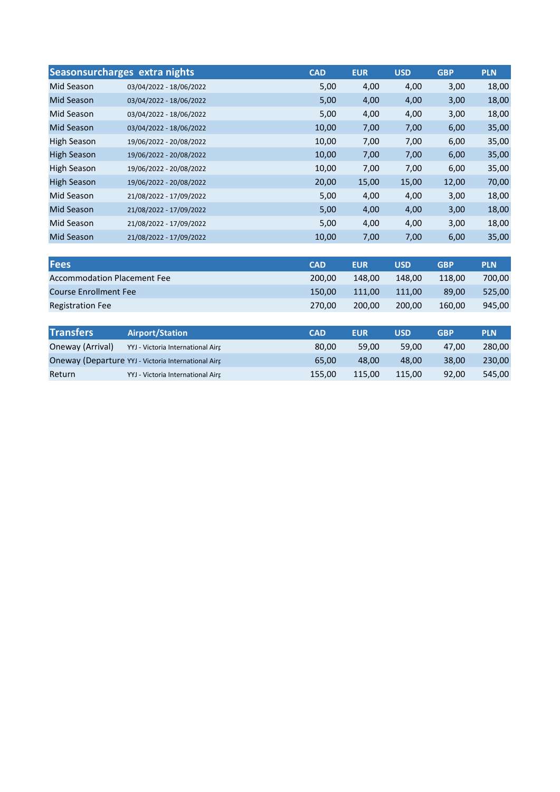|                    | Seasonsurcharges extra nights | <b>CAD</b> | <b>EUR</b> | <b>USD</b> | <b>GBP</b> | <b>PLN</b> |
|--------------------|-------------------------------|------------|------------|------------|------------|------------|
| Mid Season         | 03/04/2022 - 18/06/2022       | 5,00       | 4,00       | 4,00       | 3,00       | 18,00      |
| <b>Mid Season</b>  | 03/04/2022 - 18/06/2022       | 5,00       | 4,00       | 4,00       | 3,00       | 18,00      |
| Mid Season         | 03/04/2022 - 18/06/2022       | 5,00       | 4,00       | 4,00       | 3,00       | 18,00      |
| <b>Mid Season</b>  | 03/04/2022 - 18/06/2022       | 10,00      | 7,00       | 7,00       | 6,00       | 35,00      |
| High Season        | 19/06/2022 - 20/08/2022       | 10,00      | 7,00       | 7,00       | 6,00       | 35,00      |
| <b>High Season</b> | 19/06/2022 - 20/08/2022       | 10,00      | 7,00       | 7,00       | 6,00       | 35,00      |
| High Season        | 19/06/2022 - 20/08/2022       | 10,00      | 7,00       | 7,00       | 6,00       | 35,00      |
| High Season        | 19/06/2022 - 20/08/2022       | 20,00      | 15,00      | 15,00      | 12,00      | 70,00      |
| Mid Season         | 21/08/2022 - 17/09/2022       | 5,00       | 4,00       | 4,00       | 3,00       | 18,00      |
| <b>Mid Season</b>  | 21/08/2022 - 17/09/2022       | 5,00       | 4,00       | 4,00       | 3,00       | 18,00      |
| Mid Season         | 21/08/2022 - 17/09/2022       | 5,00       | 4,00       | 4,00       | 3,00       | 18,00      |
| <b>Mid Season</b>  | 21/08/2022 - 17/09/2022       | 10,00      | 7,00       | 7,00       | 6,00       | 35,00      |

| <b>Fees</b>                        | <b>CAD</b> | <b>EUR</b> | <b>USD</b> | <b>GBP</b> | <b>PLN</b> |
|------------------------------------|------------|------------|------------|------------|------------|
| <b>Accommodation Placement Fee</b> | 200.00     | 148.00     | 148.00     | 118.00     | 700.00     |
| <b>Course Enrollment Fee</b>       | 150.00     | 111.00     | 111.00     | 89.00      | 525.00     |
| <b>Registration Fee</b>            | 270.00     | 200.00     | 200.00     | 160.00     | 945,00     |

| <b>Transfers</b> | <b>Airport/Station</b>                              | <b>CAD</b> | <b>EUR</b> | <b>USD</b> | <b>GBP</b> | <b>PLN</b> |
|------------------|-----------------------------------------------------|------------|------------|------------|------------|------------|
| Oneway (Arrival) | YYJ - Victoria International Airr                   | 80.00      | 59.00      | 59.00      | 47.00      | 280.00     |
|                  | Oneway (Departure YYJ - Victoria International Airr | 65.00      | 48.00      | 48.00      | 38.00      | 230.00     |
| Return           | YYJ - Victoria International Airr                   | 155.00     | 115.00     | 115.00     | 92.00      | 545.00     |